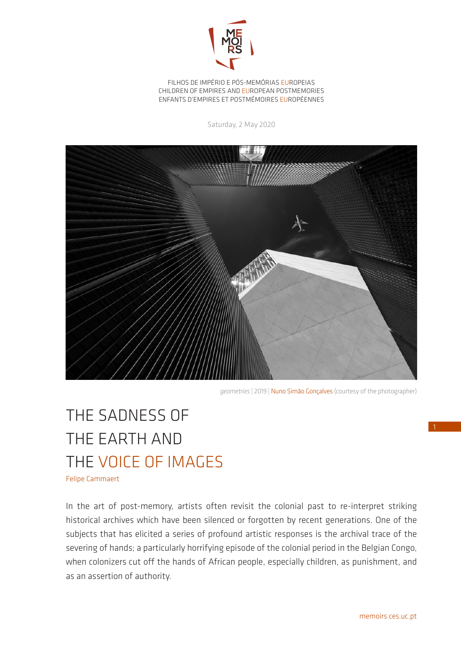

FILHOS DE IMPÉRIO E PÓS-MEMÓRIAS EUROPEIAS CHILDREN OF EMPIRES AND EUROPEAN POSTMEMORIES ENFANTS D'EMPIRES ET POSTMÉMOIRES EUROPÉENNES

Saturday, 2 May 2020



*geometries* | 2019 | Nuno Simão Gonçalves (courtesy of the photographer)

## THE SADNESS OF THE EARTH AND THE VOICE OF IMAGES

Felipe Cammaert

In the art of post-memory, artists often revisit the colonial past to re-interpret striking historical archives which have been silenced or forgotten by recent generations. One of the subjects that has elicited a series of profound artistic responses is the archival trace of the severing of hands; a particularly horrifying episode of the colonial period in the Belgian Congo, when colonizers cut off the hands of African people, especially children, as punishment, and as an assertion of authority.

1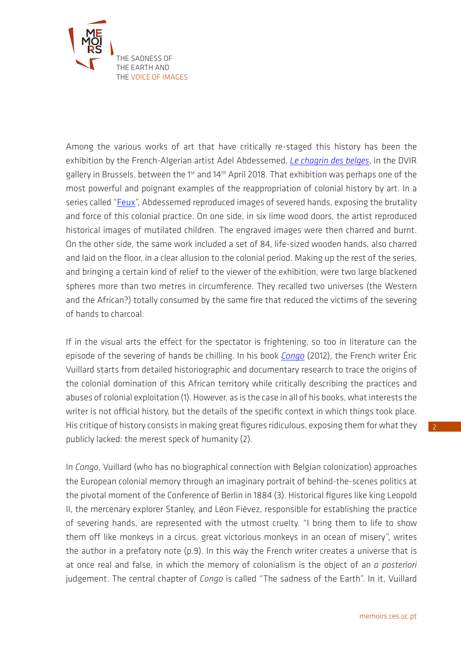

Among the various works of art that have critically re-staged this history has been the exhibition by the French-Algerian artist Adel Abdessemed, *[Le chagrin des belges](https://dvirgallery.com/exhibition/le-chagrin-des-belges/)*, in the DVIR gallery in Brussels, between the 1<sup>st</sup> and 14<sup>th</sup> April 2018. That exhibition was perhaps one of the most powerful and poignant examples of the reappropriation of colonial history by art. In a series called ["Feux"](https://www.adelabdessemed.com/oeuvres/feux/), Abdessemed reproduced images of severed hands, exposing the brutality and force of this colonial practice. On one side, in six lime wood doors, the artist reproduced historical images of mutilated children. The engraved images were then charred and burnt. On the other side, the same work included a set of 84, life-sized wooden hands, also charred and laid on the floor, in a clear allusion to the colonial period. Making up the rest of the series, and bringing a certain kind of relief to the viewer of the exhibition, were two large blackened spheres more than two metres in circumference. They recalled two universes (the Western and the African?) totally consumed by the same fire that reduced the victims of the severing of hands to charcoal.

If in the visual arts the effect for the spectator is frightening, so too in literature can the episode of the severing of hands be chilling. In his book *[Congo](https://www.actes-sud.fr/node/49048)* (2012), the French writer Éric Vuillard starts from detailed historiographic and documentary research to trace the origins of the colonial domination of this African territory while critically describing the practices and abuses of colonial exploitation (1). However, as is the case in all of his books, what interests the writer is not official history, but the details of the specific context in which things took place. His critique of history consists in making great figures ridiculous, exposing them for what they publicly lacked: the merest speck of humanity (2).

In *Congo*, Vuillard (who has no biographical connection with Belgian colonization) approaches the European colonial memory through an imaginary portrait of behind-the-scenes politics at the pivotal moment of the Conference of Berlin in 1884 (3). Historical figures like king Leopold II, the mercenary explorer Stanley, and Léon Fiévez, responsible for establishing the practice of severing hands, are represented with the utmost cruelty. "I bring them to life to show them off like monkeys in a circus, great victorious monkeys in an ocean of misery", writes the author in a prefatory note (p.9). In this way the French writer creates a universe that is at once real and false, in which the memory of colonialism is the object of an *a posteriori*  judgement. The central chapter of *Congo* is called "The sadness of the Earth". In it, Vuillard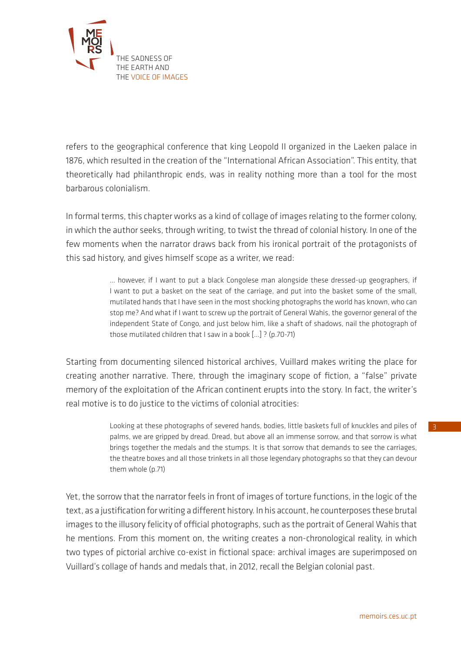

refers to the geographical conference that king Leopold II organized in the Laeken palace in 1876, which resulted in the creation of the "International African Association". This entity, that theoretically had philanthropic ends, was in reality nothing more than a tool for the most barbarous colonialism.

In formal terms, this chapter works as a kind of collage of images relating to the former colony, in which the author seeks, through writing, to twist the thread of colonial history. In one of the few moments when the narrator draws back from his ironical portrait of the protagonists of this sad history, and gives himself scope as a writer, we read:

> … however, if I want to put a black Congolese man alongside these dressed-up geographers, if I want to put a basket on the seat of the carriage, and put into the basket some of the small, mutilated hands that I have seen in the most shocking photographs the world has known, who can stop me? And what if I want to screw up the portrait of General Wahis, the governor general of the independent State of Congo, and just below him, like a shaft of shadows, nail the photograph of those mutilated children that I saw in a book […] ? (p.70-71)

Starting from documenting silenced historical archives, Vuillard makes writing the place for creating another narrative. There, through the imaginary scope of fiction, a "false" private memory of the exploitation of the African continent erupts into the story. In fact, the writer's real motive is to do justice to the victims of colonial atrocities:

> Looking at these photographs of severed hands, bodies, little baskets full of knuckles and piles of palms, we are gripped by dread. Dread, but above all an immense sorrow, and that sorrow is what brings together the medals and the stumps. It is that sorrow that demands to see the carriages, the theatre boxes and all those trinkets in all those legendary photographs so that they can devour them whole (p.71)

Yet, the sorrow that the narrator feels in front of images of torture functions, in the logic of the text, as a justification for writing a different history. In his account, he counterposes these brutal images to the illusory felicity of official photographs, such as the portrait of General Wahis that he mentions. From this moment on, the writing creates a non-chronological reality, in which two types of pictorial archive co-exist in fictional space: archival images are superimposed on Vuillard's collage of hands and medals that, in 2012, recall the Belgian colonial past.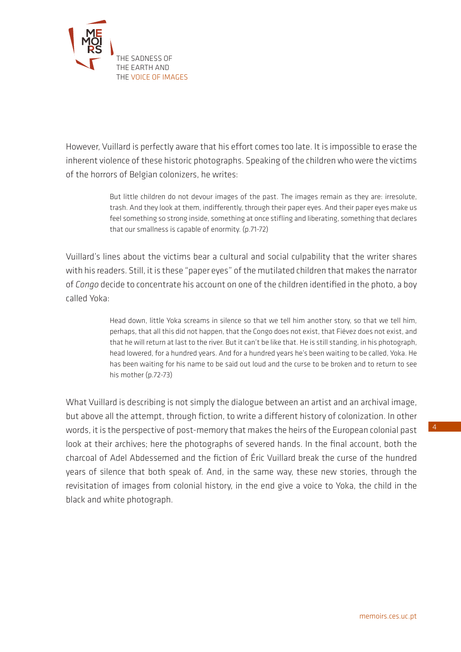

However, Vuillard is perfectly aware that his effort comes too late. It is impossible to erase the inherent violence of these historic photographs. Speaking of the children who were the victims of the horrors of Belgian colonizers, he writes:

> But little children do not devour images of the past. The images remain as they are: irresolute, trash. And they look at them, indifferently, through their paper eyes. And their paper eyes make us feel something so strong inside, something at once stifling and liberating, something that declares that our smallness is capable of enormity. (p.71-72)

Vuillard's lines about the victims bear a cultural and social culpability that the writer shares with his readers. Still, it is these "paper eyes" of the mutilated children that makes the narrator of *Congo* decide to concentrate his account on one of the children identified in the photo, a boy called Yoka:

> Head down, little Yoka screams in silence so that we tell him another story, so that we tell him, perhaps, that all this did not happen, that the Congo does not exist, that Fiévez does not exist, and that he will return at last to the river. But it can't be like that. He is still standing, in his photograph, head lowered, for a hundred years. And for a hundred years he's been waiting to be called, Yoka. He has been waiting for his name to be said out loud and the curse to be broken and to return to see his mother (p.72-73)

What Vuillard is describing is not simply the dialogue between an artist and an archival image, but above all the attempt, through fiction, to write a different history of colonization. In other words, it is the perspective of post-memory that makes the heirs of the European colonial past look at their archives; here the photographs of severed hands. In the final account, both the charcoal of Adel Abdessemed and the fiction of Éric Vuillard break the curse of the hundred years of silence that both speak of. And, in the same way, these new stories, through the revisitation of images from colonial history, in the end give a voice to Yoka, the child in the black and white photograph.